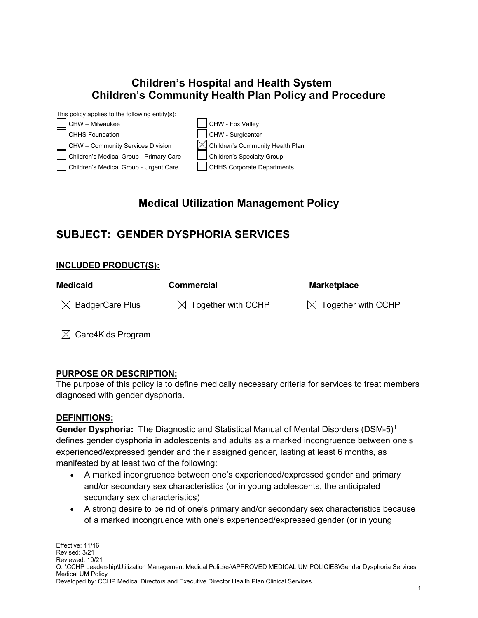## **Children's Hospital and Health System Children's Community Health Plan Policy and Procedure**



# **Medical Utilization Management Policy**

## **SUBJECT: GENDER DYSPHORIA SERVICES**

## **INCLUDED PRODUCT(S):**

| <b>Medicaid</b>             | <b>Commercial</b>              | <b>Marketplace</b>             |
|-----------------------------|--------------------------------|--------------------------------|
| $\boxtimes$ BadgerCare Plus | $\boxtimes$ Together with CCHP | $\boxtimes$ Together with CCHP |

 $\boxtimes$  Care4Kids Program

## **PURPOSE OR DESCRIPTION:**

The purpose of this policy is to define medically necessary criteria for services to treat members diagnosed with gender dysphoria.

## **DEFINITIONS:**

Gender Dysphoria: The Diagnostic and Statistical Manual of Mental Disorders (DSM-5)<sup>1</sup> defines gender dysphoria in adolescents and adults as a marked incongruence between one's experienced/expressed gender and their assigned gender, lasting at least 6 months, as manifested by at least two of the following:

- A marked incongruence between one's experienced/expressed gender and primary and/or secondary sex characteristics (or in young adolescents, the anticipated secondary sex characteristics)
- A strong desire to be rid of one's primary and/or secondary sex characteristics because of a marked incongruence with one's experienced/expressed gender (or in young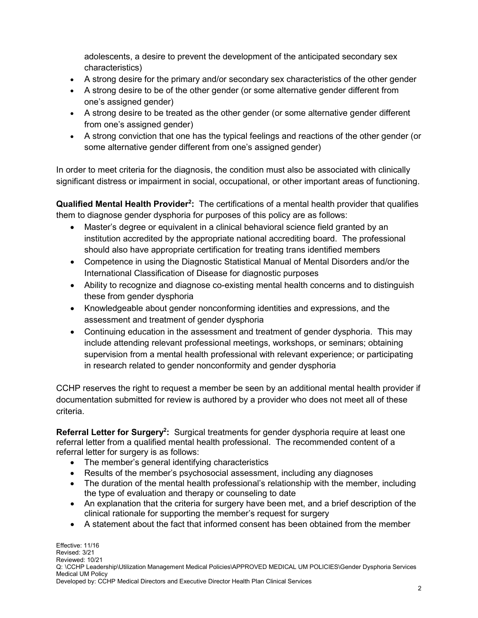adolescents, a desire to prevent the development of the anticipated secondary sex characteristics)

- A strong desire for the primary and/or secondary sex characteristics of the other gender
- A strong desire to be of the other gender (or some alternative gender different from one's assigned gender)
- A strong desire to be treated as the other gender (or some alternative gender different from one's assigned gender)
- A strong conviction that one has the typical feelings and reactions of the other gender (or some alternative gender different from one's assigned gender)

In order to meet criteria for the diagnosis, the condition must also be associated with clinically significant distress or impairment in social, occupational, or other important areas of functioning.

**Qualified Mental Health Provider<sup>2</sup>:** The certifications of a mental health provider that qualifies them to diagnose gender dysphoria for purposes of this policy are as follows:

- Master's degree or equivalent in a clinical behavioral science field granted by an institution accredited by the appropriate national accrediting board. The professional should also have appropriate certification for treating trans identified members
- Competence in using the Diagnostic Statistical Manual of Mental Disorders and/or the International Classification of Disease for diagnostic purposes
- Ability to recognize and diagnose co-existing mental health concerns and to distinguish these from gender dysphoria
- Knowledgeable about gender nonconforming identities and expressions, and the assessment and treatment of gender dysphoria
- Continuing education in the assessment and treatment of gender dysphoria. This may include attending relevant professional meetings, workshops, or seminars; obtaining supervision from a mental health professional with relevant experience; or participating in research related to gender nonconformity and gender dysphoria

CCHP reserves the right to request a member be seen by an additional mental health provider if documentation submitted for review is authored by a provider who does not meet all of these criteria.

**Referral Letter for Surgery<sup>2</sup>:** Surgical treatments for gender dysphoria require at least one referral letter from a qualified mental health professional. The recommended content of a referral letter for surgery is as follows:

- The member's general identifying characteristics
- Results of the member's psychosocial assessment, including any diagnoses
- The duration of the mental health professional's relationship with the member, including the type of evaluation and therapy or counseling to date
- An explanation that the criteria for surgery have been met, and a brief description of the clinical rationale for supporting the member's request for surgery
- A statement about the fact that informed consent has been obtained from the member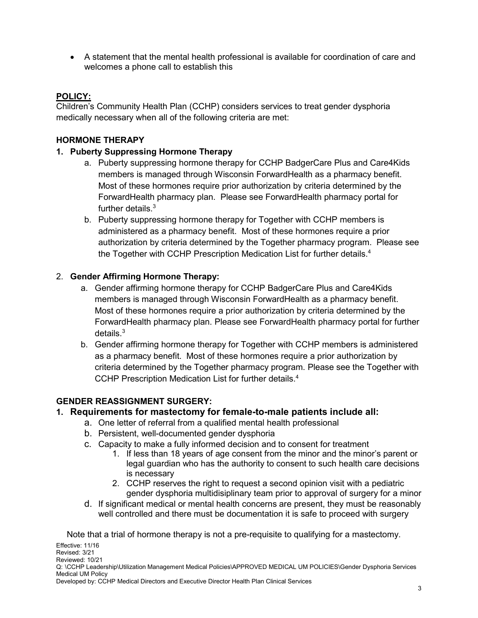• A statement that the mental health professional is available for coordination of care and welcomes a phone call to establish this

## **POLICY:**

Children's Community Health Plan (CCHP) considers services to treat gender dysphoria medically necessary when all of the following criteria are met:

### **HORMONE THERAPY**

### **1. Puberty Suppressing Hormone Therapy**

- a. Puberty suppressing hormone therapy for CCHP BadgerCare Plus and Care4Kids members is managed through Wisconsin ForwardHealth as a pharmacy benefit. Most of these hormones require prior authorization by criteria determined by the ForwardHealth pharmacy plan. Please see ForwardHealth pharmacy portal for further details.<sup>3</sup>
- b. Puberty suppressing hormone therapy for Together with CCHP members is administered as a pharmacy benefit. Most of these hormones require a prior authorization by criteria determined by the Together pharmacy program. Please see the Together with CCHP Prescription Medication List for further details. 4

## 2. **Gender Affirming Hormone Therapy:**

- a. Gender affirming hormone therapy for CCHP BadgerCare Plus and Care4Kids members is managed through Wisconsin ForwardHealth as a pharmacy benefit. Most of these hormones require a prior authorization by criteria determined by the ForwardHealth pharmacy plan. Please see ForwardHealth pharmacy portal for further details.3
- b. Gender affirming hormone therapy for Together with CCHP members is administered as a pharmacy benefit. Most of these hormones require a prior authorization by criteria determined by the Together pharmacy program. Please see the Together with CCHP Prescription Medication List for further details. 4

## **GENDER REASSIGNMENT SURGERY:**

- **1. Requirements for mastectomy for female-to-male patients include all:**
	- a. One letter of referral from a qualified mental health professional
	- b. Persistent, well-documented gender dysphoria
	- c. Capacity to make a fully informed decision and to consent for treatment
		- 1. If less than 18 years of age consent from the minor and the minor's parent or legal guardian who has the authority to consent to such health care decisions is necessary
		- 2. CCHP reserves the right to request a second opinion visit with a pediatric gender dysphoria multidisiplinary team prior to approval of surgery for a minor
	- d. If significant medical or mental health concerns are present, they must be reasonably well controlled and there must be documentation it is safe to proceed with surgery

Note that a trial of hormone therapy is not a pre-requisite to qualifying for a mastectomy.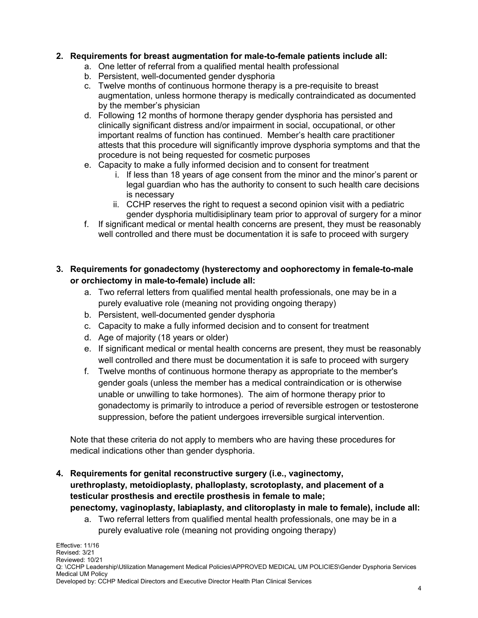### **2. Requirements for breast augmentation for male-to-female patients include all:**

- a. One letter of referral from a qualified mental health professional
- b. Persistent, well-documented gender dysphoria
- c. Twelve months of continuous hormone therapy is a pre-requisite to breast augmentation, unless hormone therapy is medically contraindicated as documented by the member's physician
- d. Following 12 months of hormone therapy gender dysphoria has persisted and clinically significant distress and/or impairment in social, occupational, or other important realms of function has continued. Member's health care practitioner attests that this procedure will significantly improve dysphoria symptoms and that the procedure is not being requested for cosmetic purposes
- e. Capacity to make a fully informed decision and to consent for treatment
	- i. If less than 18 years of age consent from the minor and the minor's parent or legal guardian who has the authority to consent to such health care decisions is necessary
	- ii. CCHP reserves the right to request a second opinion visit with a pediatric gender dysphoria multidisiplinary team prior to approval of surgery for a minor
- f. If significant medical or mental health concerns are present, they must be reasonably well controlled and there must be documentation it is safe to proceed with surgery

## **3. Requirements for gonadectomy (hysterectomy and oophorectomy in female-to-male or orchiectomy in male-to-female) include all:**

- a. Two referral letters from qualified mental health professionals, one may be in a purely evaluative role (meaning not providing ongoing therapy)
- b. Persistent, well-documented gender dysphoria
- c. Capacity to make a fully informed decision and to consent for treatment
- d. Age of majority (18 years or older)
- e. If significant medical or mental health concerns are present, they must be reasonably well controlled and there must be documentation it is safe to proceed with surgery
- f. Twelve months of continuous hormone therapy as appropriate to the member's gender goals (unless the member has a medical contraindication or is otherwise unable or unwilling to take hormones). The aim of hormone therapy prior to gonadectomy is primarily to introduce a period of reversible estrogen or testosterone suppression, before the patient undergoes irreversible surgical intervention.

Note that these criteria do not apply to members who are having these procedures for medical indications other than gender dysphoria.

- **4. Requirements for genital reconstructive surgery (i.e., vaginectomy, urethroplasty, metoidioplasty, phalloplasty, scrotoplasty, and placement of a testicular prosthesis and erectile prosthesis in female to male; penectomy, vaginoplasty, labiaplasty, and clitoroplasty in male to female), include all:**
	- a. Two referral letters from qualified mental health professionals, one may be in a purely evaluative role (meaning not providing ongoing therapy)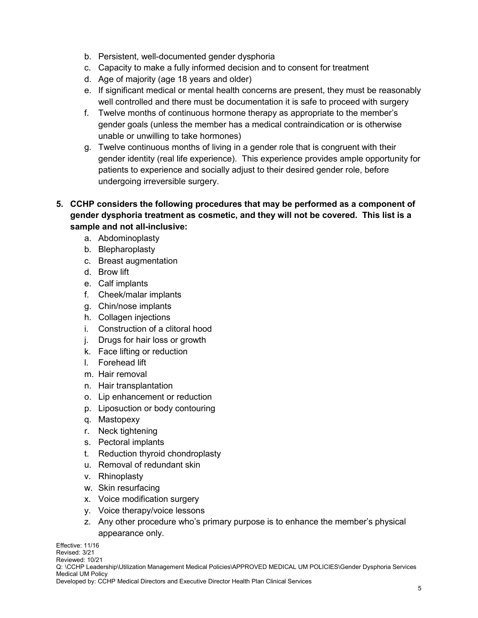- b. Persistent, well-documented gender dysphoria
- c. Capacity to make a fully informed decision and to consent for treatment
- d. Age of majority (age 18 years and older)
- e. If significant medical or mental health concerns are present, they must be reasonably well controlled and there must be documentation it is safe to proceed with surgery
- f. Twelve months of continuous hormone therapy as appropriate to the member's gender goals (unless the member has a medical contraindication or is otherwise unable or unwilling to take hormones)
- g. Twelve continuous months of living in a gender role that is congruent with their gender identity (real life experience). This experience provides ample opportunity for patients to experience and socially adjust to their desired gender role, before undergoing irreversible surgery.
- **5. CCHP considers the following procedures that may be performed as a component of gender dysphoria treatment as cosmetic, and they will not be covered. This list is a sample and not all-inclusive:**
	- a. Abdominoplasty
	- b. Blepharoplasty
	- c. Breast augmentation
	- d. Brow lift
	- e. Calf implants
	- f. Cheek/malar implants
	- g. Chin/nose implants
	- h. Collagen injections
	- i. Construction of a clitoral hood
	- j. Drugs for hair loss or growth
	- k. Face lifting or reduction
	- l. Forehead lift
	- m. Hair removal
	- n. Hair transplantation
	- o. Lip enhancement or reduction
	- p. Liposuction or body contouring
	- q. Mastopexy
	- r. Neck tightening
	- s. Pectoral implants
	- t. Reduction thyroid chondroplasty
	- u. Removal of redundant skin
	- v. Rhinoplasty
	- w. Skin resurfacing
	- x. Voice modification surgery
	- y. Voice therapy/voice lessons
	- z. Any other procedure who's primary purpose is to enhance the member's physical appearance only.

Effective: 11/16 Revised: 3/21 Reviewed: 10/21 Q: \CCHP Leadership\Utilization Management Medical Policies\APPROVED MEDICAL UM POLICIES\Gender Dysphoria Services Medical UM Policy Developed by: CCHP Medical Directors and Executive Director Health Plan Clinical Services